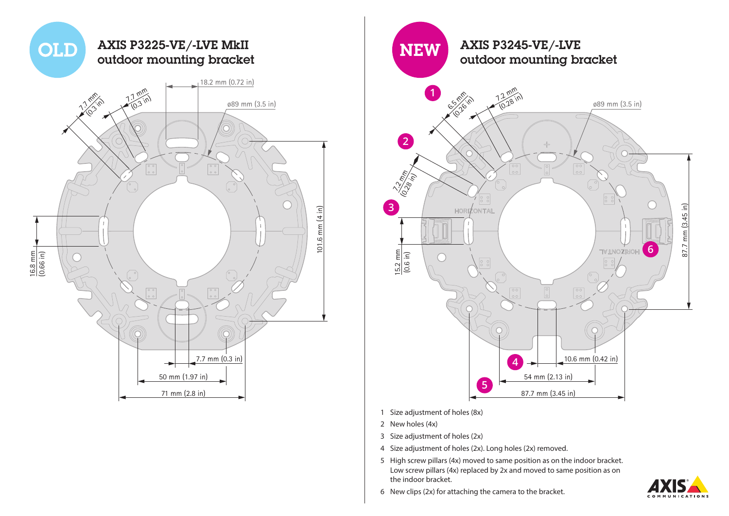



- 2 New holes (4x)
- 3 Size adjustment of holes (2x)
- 4 Size adjustment of holes (2x). Long holes (2x) removed.
- 5 High screw pillars (4x) moved to same position as on the indoor bracket. Low screw pillars (4x) replaced by 2x and moved to same position as on the indoor bracket.



6 New clips (2x) for attaching the camera to the bracket.